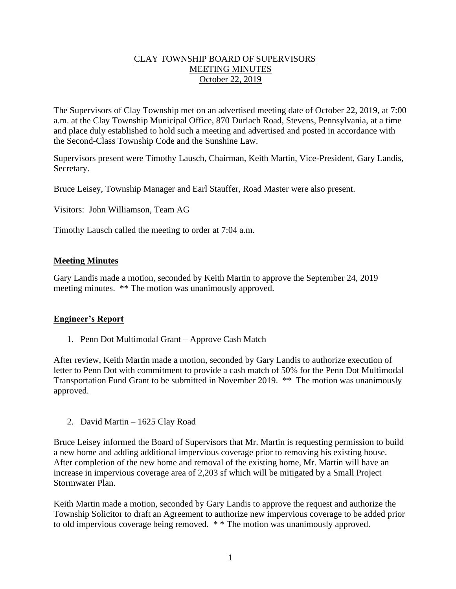## CLAY TOWNSHIP BOARD OF SUPERVISORS MEETING MINUTES October 22, 2019

The Supervisors of Clay Township met on an advertised meeting date of October 22, 2019, at 7:00 a.m. at the Clay Township Municipal Office, 870 Durlach Road, Stevens, Pennsylvania, at a time and place duly established to hold such a meeting and advertised and posted in accordance with the Second-Class Township Code and the Sunshine Law.

Supervisors present were Timothy Lausch, Chairman, Keith Martin, Vice-President, Gary Landis, Secretary.

Bruce Leisey, Township Manager and Earl Stauffer, Road Master were also present.

Visitors: John Williamson, Team AG

Timothy Lausch called the meeting to order at 7:04 a.m.

### **Meeting Minutes**

Gary Landis made a motion, seconded by Keith Martin to approve the September 24, 2019 meeting minutes. \*\* The motion was unanimously approved.

#### **Engineer's Report**

1. Penn Dot Multimodal Grant – Approve Cash Match

After review, Keith Martin made a motion, seconded by Gary Landis to authorize execution of letter to Penn Dot with commitment to provide a cash match of 50% for the Penn Dot Multimodal Transportation Fund Grant to be submitted in November 2019. \*\* The motion was unanimously approved.

2. David Martin – 1625 Clay Road

Bruce Leisey informed the Board of Supervisors that Mr. Martin is requesting permission to build a new home and adding additional impervious coverage prior to removing his existing house. After completion of the new home and removal of the existing home, Mr. Martin will have an increase in impervious coverage area of 2,203 sf which will be mitigated by a Small Project Stormwater Plan.

Keith Martin made a motion, seconded by Gary Landis to approve the request and authorize the Township Solicitor to draft an Agreement to authorize new impervious coverage to be added prior to old impervious coverage being removed. \* \* The motion was unanimously approved.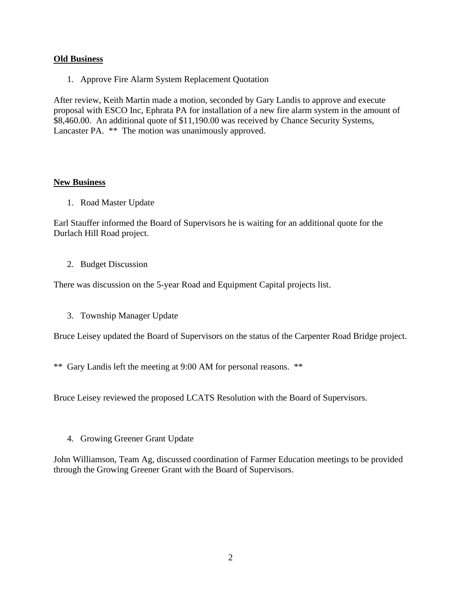### **Old Business**

1. Approve Fire Alarm System Replacement Quotation

After review, Keith Martin made a motion, seconded by Gary Landis to approve and execute proposal with ESCO Inc, Ephrata PA for installation of a new fire alarm system in the amount of \$8,460.00. An additional quote of \$11,190.00 was received by Chance Security Systems, Lancaster PA. \*\* The motion was unanimously approved.

### **New Business**

1. Road Master Update

Earl Stauffer informed the Board of Supervisors he is waiting for an additional quote for the Durlach Hill Road project.

2. Budget Discussion

There was discussion on the 5-year Road and Equipment Capital projects list.

3. Township Manager Update

Bruce Leisey updated the Board of Supervisors on the status of the Carpenter Road Bridge project.

\*\* Gary Landis left the meeting at 9:00 AM for personal reasons. \*\*

Bruce Leisey reviewed the proposed LCATS Resolution with the Board of Supervisors.

4. Growing Greener Grant Update

John Williamson, Team Ag, discussed coordination of Farmer Education meetings to be provided through the Growing Greener Grant with the Board of Supervisors.